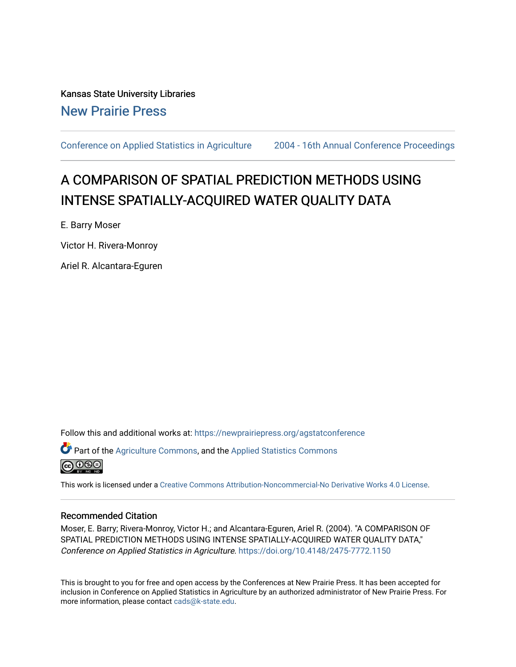Kansas State University Libraries [New Prairie Press](https://newprairiepress.org/) 

[Conference on Applied Statistics in Agriculture](https://newprairiepress.org/agstatconference) [2004 - 16th Annual Conference Proceedings](https://newprairiepress.org/agstatconference/2004) 

# A COMPARISON OF SPATIAL PREDICTION METHODS USING INTENSE SPATIALLY-ACQUIRED WATER QUALITY DATA

E. Barry Moser

Victor H. Rivera-Monroy

Ariel R. Alcantara-Eguren

Follow this and additional works at: [https://newprairiepress.org/agstatconference](https://newprairiepress.org/agstatconference?utm_source=newprairiepress.org%2Fagstatconference%2F2004%2Fproceedings%2F4&utm_medium=PDF&utm_campaign=PDFCoverPages)

 $\bullet$  Part of the [Agriculture Commons](http://network.bepress.com/hgg/discipline/1076?utm_source=newprairiepress.org%2Fagstatconference%2F2004%2Fproceedings%2F4&utm_medium=PDF&utm_campaign=PDFCoverPages), and the Applied Statistics Commons



This work is licensed under a [Creative Commons Attribution-Noncommercial-No Derivative Works 4.0 License.](https://creativecommons.org/licenses/by-nc-nd/4.0/)

#### Recommended Citation

Moser, E. Barry; Rivera-Monroy, Victor H.; and Alcantara-Eguren, Ariel R. (2004). "A COMPARISON OF SPATIAL PREDICTION METHODS USING INTENSE SPATIALLY-ACQUIRED WATER QUALITY DATA," Conference on Applied Statistics in Agriculture.<https://doi.org/10.4148/2475-7772.1150>

This is brought to you for free and open access by the Conferences at New Prairie Press. It has been accepted for inclusion in Conference on Applied Statistics in Agriculture by an authorized administrator of New Prairie Press. For more information, please contact [cads@k-state.edu](mailto:cads@k-state.edu).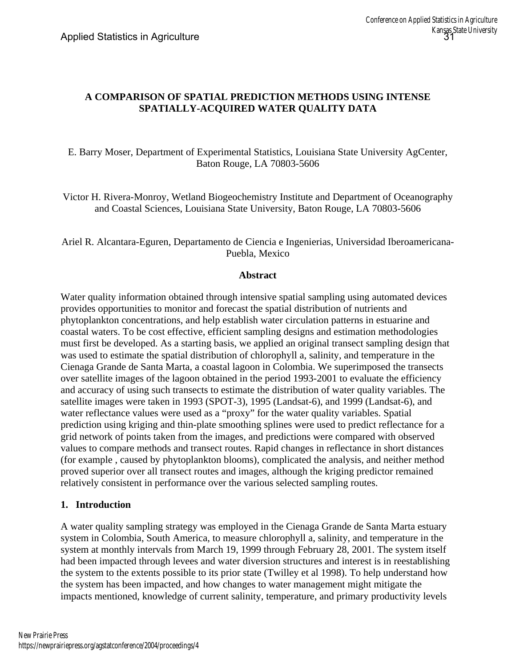## **A COMPARISON OF SPATIAL PREDICTION METHODS USING INTENSE SPATIALLY-ACQUIRED WATER QUALITY DATA**

E. Barry Moser, Department of Experimental Statistics, Louisiana State University AgCenter, Baton Rouge, LA 70803-5606

Victor H. Rivera-Monroy, Wetland Biogeochemistry Institute and Department of Oceanography and Coastal Sciences, Louisiana State University, Baton Rouge, LA 70803-5606

## Ariel R. Alcantara-Eguren, Departamento de Ciencia e Ingenierias, Universidad Iberoamericana-Puebla, Mexico

### **Abstract**

Water quality information obtained through intensive spatial sampling using automated devices provides opportunities to monitor and forecast the spatial distribution of nutrients and phytoplankton concentrations, and help establish water circulation patterns in estuarine and coastal waters. To be cost effective, efficient sampling designs and estimation methodologies must first be developed. As a starting basis, we applied an original transect sampling design that was used to estimate the spatial distribution of chlorophyll a, salinity, and temperature in the Cienaga Grande de Santa Marta, a coastal lagoon in Colombia. We superimposed the transects over satellite images of the lagoon obtained in the period 1993-2001 to evaluate the efficiency and accuracy of using such transects to estimate the distribution of water quality variables. The satellite images were taken in 1993 (SPOT-3), 1995 (Landsat-6), and 1999 (Landsat-6), and water reflectance values were used as a "proxy" for the water quality variables. Spatial prediction using kriging and thin-plate smoothing splines were used to predict reflectance for a grid network of points taken from the images, and predictions were compared with observed values to compare methods and transect routes. Rapid changes in reflectance in short distances (for example , caused by phytoplankton blooms), complicated the analysis, and neither method proved superior over all transect routes and images, although the kriging predictor remained relatively consistent in performance over the various selected sampling routes.

### **1. Introduction**

A water quality sampling strategy was employed in the Cienaga Grande de Santa Marta estuary system in Colombia, South America, to measure chlorophyll a, salinity, and temperature in the system at monthly intervals from March 19, 1999 through February 28, 2001. The system itself had been impacted through levees and water diversion structures and interest is in reestablishing the system to the extents possible to its prior state (Twilley et al 1998). To help understand how the system has been impacted, and how changes to water management might mitigate the impacts mentioned, knowledge of current salinity, temperature, and primary productivity levels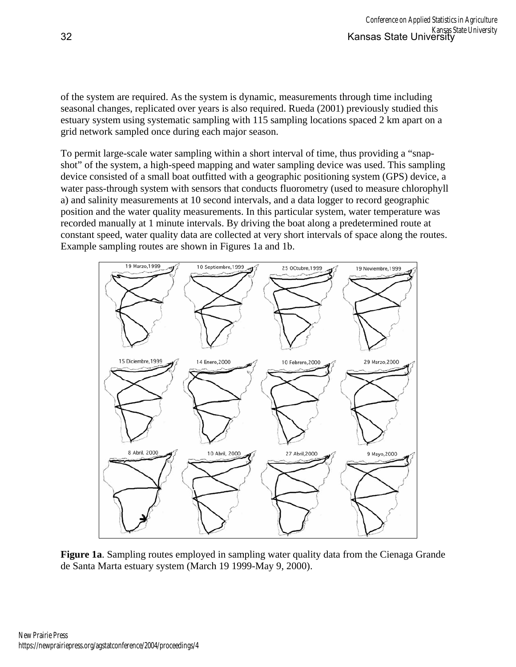of the system are required. As the system is dynamic, measurements through time including seasonal changes, replicated over years is also required. Rueda (2001) previously studied this estuary system using systematic sampling with 115 sampling locations spaced 2 km apart on a grid network sampled once during each major season.

To permit large-scale water sampling within a short interval of time, thus providing a "snapshot" of the system, a high-speed mapping and water sampling device was used. This sampling device consisted of a small boat outfitted with a geographic positioning system (GPS) device, a water pass-through system with sensors that conducts fluorometry (used to measure chlorophyll a) and salinity measurements at 10 second intervals, and a data logger to record geographic position and the water quality measurements. In this particular system, water temperature was recorded manually at 1 minute intervals. By driving the boat along a predetermined route at constant speed, water quality data are collected at very short intervals of space along the routes. Example sampling routes are shown in Figures 1a and 1b.



**Figure 1a**. Sampling routes employed in sampling water quality data from the Cienaga Grande de Santa Marta estuary system (March 19 1999-May 9, 2000).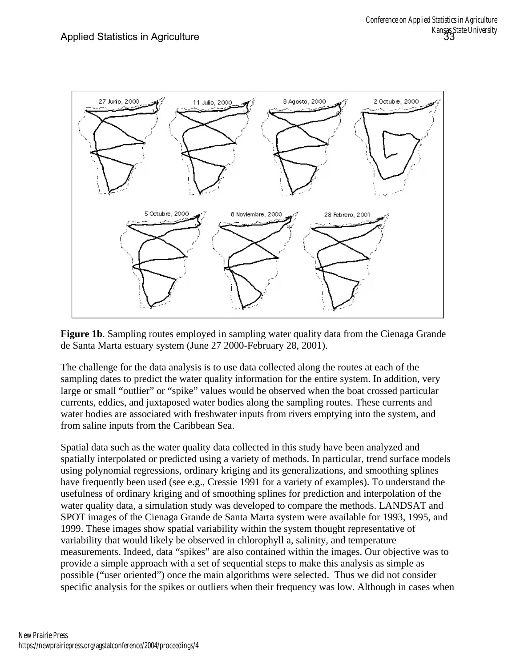

**Figure 1b.** Sampling routes employed in sampling water quality data from the Cienaga Grande de Santa Marta estuary system (June 27 2000-February 28, 2001).

The challenge for the data analysis is to use data collected along the routes at each of the sampling dates to predict the water quality information for the entire system. In addition, very large or small "outlier" or "spike" values would be observed when the boat crossed particular currents, eddies, and juxtaposed water bodies along the sampling routes. These currents and water bodies are associated with freshwater inputs from rivers emptying into the system, and from saline inputs from the Caribbean Sea.

Spatial data such as the water quality data collected in this study have been analyzed and spatially interpolated or predicted using a variety of methods. In particular, trend surface models using polynomial regressions, ordinary kriging and its generalizations, and smoothing splines have frequently been used (see e.g., Cressie 1991 for a variety of examples). To understand the usefulness of ordinary kriging and of smoothing splines for prediction and interpolation of the water quality data, a simulation study was developed to compare the methods. LANDSAT and SPOT images of the Cienaga Grande de Santa Marta system were available for 1993, 1995, and 1999. These images show spatial variability within the system thought representative of variability that would likely be observed in chlorophyll a, salinity, and temperature measurements. Indeed, data "spikes" are also contained within the images. Our objective was to provide a simple approach with a set of sequential steps to make this analysis as simple as possible ("user oriented") once the main algorithms were selected. Thus we did not consider specific analysis for the spikes or outliers when their frequency was low. Although in cases when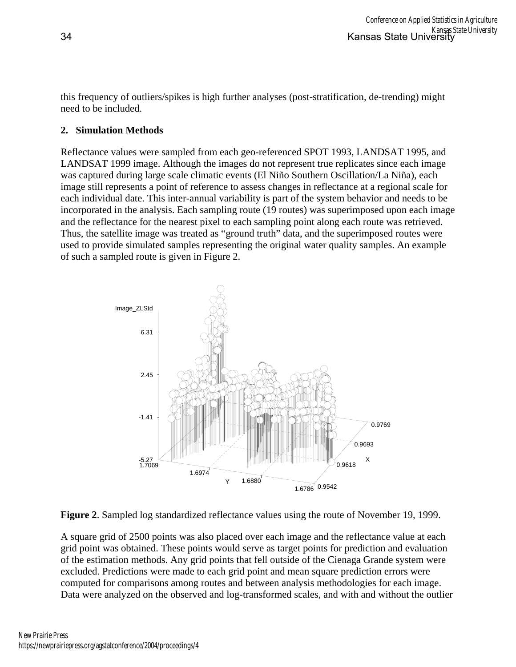this frequency of outliers/spikes is high further analyses (post-stratification, de-trending) might need to be included.

## **2. Simulation Methods**

Reflectance values were sampled from each geo-referenced SPOT 1993, LANDSAT 1995, and LANDSAT 1999 image. Although the images do not represent true replicates since each image was captured during large scale climatic events (El Niño Southern Oscillation/La Niña), each image still represents a point of reference to assess changes in reflectance at a regional scale for each individual date. This inter-annual variability is part of the system behavior and needs to be incorporated in the analysis. Each sampling route (19 routes) was superimposed upon each image and the reflectance for the nearest pixel to each sampling point along each route was retrieved. Thus, the satellite image was treated as "ground truth" data, and the superimposed routes were used to provide simulated samples representing the original water quality samples. An example of such a sampled route is given in Figure 2.



**Figure 2**. Sampled log standardized reflectance values using the route of November 19, 1999.

A square grid of 2500 points was also placed over each image and the reflectance value at each grid point was obtained. These points would serve as target points for prediction and evaluation of the estimation methods. Any grid points that fell outside of the Cienaga Grande system were excluded. Predictions were made to each grid point and mean square prediction errors were computed for comparisons among routes and between analysis methodologies for each image. Data were analyzed on the observed and log-transformed scales, and with and without the outlier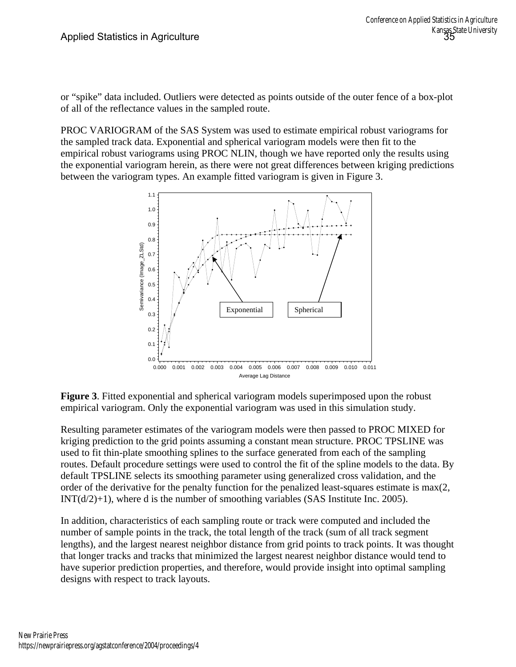or "spike" data included. Outliers were detected as points outside of the outer fence of a box-plot of all of the reflectance values in the sampled route.

PROC VARIOGRAM of the SAS System was used to estimate empirical robust variograms for the sampled track data. Exponential and spherical variogram models were then fit to the empirical robust variograms using PROC NLIN, though we have reported only the results using the exponential variogram herein, as there were not great differences between kriging predictions between the variogram types. An example fitted variogram is given in Figure 3.



**Figure 3**. Fitted exponential and spherical variogram models superimposed upon the robust empirical variogram. Only the exponential variogram was used in this simulation study.

Resulting parameter estimates of the variogram models were then passed to PROC MIXED for kriging prediction to the grid points assuming a constant mean structure. PROC TPSLINE was used to fit thin-plate smoothing splines to the surface generated from each of the sampling routes. Default procedure settings were used to control the fit of the spline models to the data. By default TPSLINE selects its smoothing parameter using generalized cross validation, and the order of the derivative for the penalty function for the penalized least-squares estimate is max(2,  $INT(d/2)+1$ , where d is the number of smoothing variables (SAS Institute Inc. 2005).

In addition, characteristics of each sampling route or track were computed and included the number of sample points in the track, the total length of the track (sum of all track segment lengths), and the largest nearest neighbor distance from grid points to track points. It was thought that longer tracks and tracks that minimized the largest nearest neighbor distance would tend to have superior prediction properties, and therefore, would provide insight into optimal sampling designs with respect to track layouts.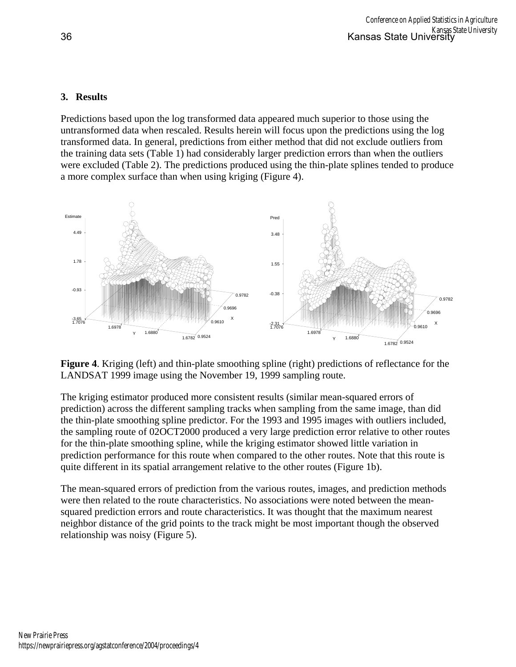## **3. Results**

Predictions based upon the log transformed data appeared much superior to those using the untransformed data when rescaled. Results herein will focus upon the predictions using the log transformed data. In general, predictions from either method that did not exclude outliers from the training data sets (Table 1) had considerably larger prediction errors than when the outliers were excluded (Table 2). The predictions produced using the thin-plate splines tended to produce a more complex surface than when using kriging (Figure 4).



**Figure 4**. Kriging (left) and thin-plate smoothing spline (right) predictions of reflectance for the LANDSAT 1999 image using the November 19, 1999 sampling route.

The kriging estimator produced more consistent results (similar mean-squared errors of prediction) across the different sampling tracks when sampling from the same image, than did the thin-plate smoothing spline predictor. For the 1993 and 1995 images with outliers included, the sampling route of 02OCT2000 produced a very large prediction error relative to other routes for the thin-plate smoothing spline, while the kriging estimator showed little variation in prediction performance for this route when compared to the other routes. Note that this route is quite different in its spatial arrangement relative to the other routes (Figure 1b).

The mean-squared errors of prediction from the various routes, images, and prediction methods were then related to the route characteristics. No associations were noted between the meansquared prediction errors and route characteristics. It was thought that the maximum nearest neighbor distance of the grid points to the track might be most important though the observed relationship was noisy (Figure 5).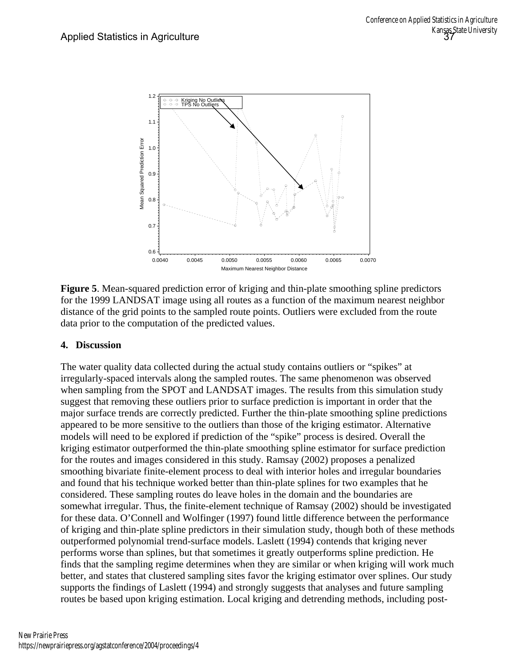

**Figure 5**. Mean-squared prediction error of kriging and thin-plate smoothing spline predictors for the 1999 LANDSAT image using all routes as a function of the maximum nearest neighbor distance of the grid points to the sampled route points. Outliers were excluded from the route data prior to the computation of the predicted values.

## **4. Discussion**

The water quality data collected during the actual study contains outliers or "spikes" at irregularly-spaced intervals along the sampled routes. The same phenomenon was observed when sampling from the SPOT and LANDSAT images. The results from this simulation study suggest that removing these outliers prior to surface prediction is important in order that the major surface trends are correctly predicted. Further the thin-plate smoothing spline predictions appeared to be more sensitive to the outliers than those of the kriging estimator. Alternative models will need to be explored if prediction of the "spike" process is desired. Overall the kriging estimator outperformed the thin-plate smoothing spline estimator for surface prediction for the routes and images considered in this study. Ramsay (2002) proposes a penalized smoothing bivariate finite-element process to deal with interior holes and irregular boundaries and found that his technique worked better than thin-plate splines for two examples that he considered. These sampling routes do leave holes in the domain and the boundaries are somewhat irregular. Thus, the finite-element technique of Ramsay (2002) should be investigated for these data. O'Connell and Wolfinger (1997) found little difference between the performance of kriging and thin-plate spline predictors in their simulation study, though both of these methods outperformed polynomial trend-surface models. Laslett (1994) contends that kriging never performs worse than splines, but that sometimes it greatly outperforms spline prediction. He finds that the sampling regime determines when they are similar or when kriging will work much better, and states that clustered sampling sites favor the kriging estimator over splines. Our study supports the findings of Laslett (1994) and strongly suggests that analyses and future sampling routes be based upon kriging estimation. Local kriging and detrending methods, including post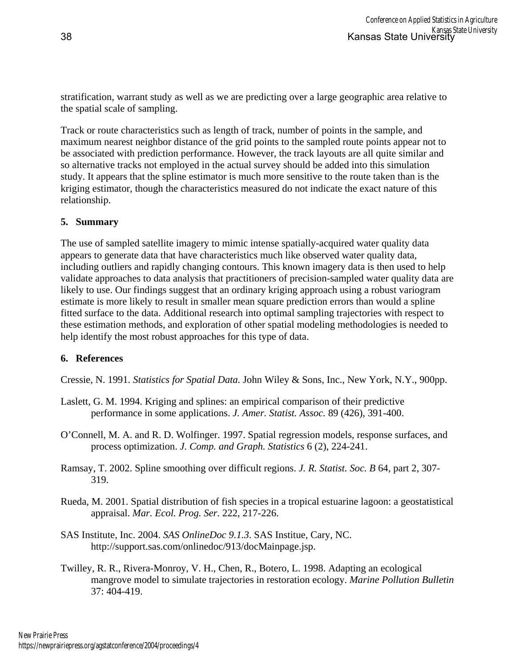stratification, warrant study as well as we are predicting over a large geographic area relative to the spatial scale of sampling.

Track or route characteristics such as length of track, number of points in the sample, and maximum nearest neighbor distance of the grid points to the sampled route points appear not to be associated with prediction performance. However, the track layouts are all quite similar and so alternative tracks not employed in the actual survey should be added into this simulation study. It appears that the spline estimator is much more sensitive to the route taken than is the kriging estimator, though the characteristics measured do not indicate the exact nature of this relationship.

## **5. Summary**

The use of sampled satellite imagery to mimic intense spatially-acquired water quality data appears to generate data that have characteristics much like observed water quality data, including outliers and rapidly changing contours. This known imagery data is then used to help validate approaches to data analysis that practitioners of precision-sampled water quality data are likely to use. Our findings suggest that an ordinary kriging approach using a robust variogram estimate is more likely to result in smaller mean square prediction errors than would a spline fitted surface to the data. Additional research into optimal sampling trajectories with respect to these estimation methods, and exploration of other spatial modeling methodologies is needed to help identify the most robust approaches for this type of data.

### **6. References**

Cressie, N. 1991. *Statistics for Spatial Data.* John Wiley & Sons, Inc., New York, N.Y., 900pp.

- Laslett, G. M. 1994. Kriging and splines: an empirical comparison of their predictive performance in some applications. *J. Amer. Statist. Assoc.* 89 (426), 391-400.
- O'Connell, M. A. and R. D. Wolfinger. 1997. Spatial regression models, response surfaces, and process optimization. *J. Comp. and Graph. Statistics* 6 (2), 224-241.
- Ramsay, T. 2002. Spline smoothing over difficult regions. *J. R. Statist. Soc. B* 64, part 2, 307- 319.
- Rueda, M. 2001. Spatial distribution of fish species in a tropical estuarine lagoon: a geostatistical appraisal. *Mar. Ecol. Prog. Ser.* 222, 217-226.
- SAS Institute, Inc. 2004. *SAS OnlineDoc 9.1.3*. SAS Institue, Cary, NC. http://support.sas.com/onlinedoc/913/docMainpage.jsp.
- Twilley, R. R., Rivera-Monroy, V. H., Chen, R., Botero, L. 1998. Adapting an ecological mangrove model to simulate trajectories in restoration ecology. *Marine Pollution Bulletin* 37: 404-419.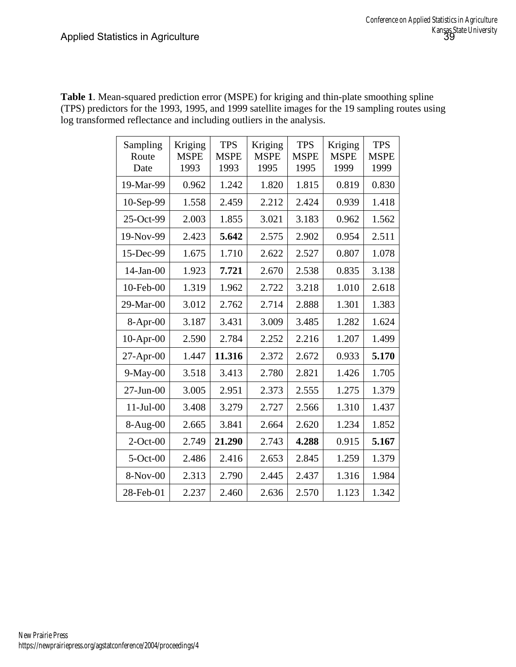| Sampling<br>Route<br>Date | Kriging<br><b>MSPE</b><br>1993 | <b>TPS</b><br><b>MSPE</b><br>1993 | Kriging<br><b>MSPE</b><br>1995 | <b>TPS</b><br><b>MSPE</b><br>1995 | Kriging<br><b>MSPE</b><br>1999 | <b>TPS</b><br><b>MSPE</b><br>1999 |
|---------------------------|--------------------------------|-----------------------------------|--------------------------------|-----------------------------------|--------------------------------|-----------------------------------|
| 19-Mar-99                 | 0.962                          | 1.242                             | 1.820                          | 1.815                             | 0.819                          | 0.830                             |
| 10-Sep-99                 | 1.558                          | 2.459                             | 2.212                          | 2.424                             | 0.939                          | 1.418                             |
| 25-Oct-99                 | 2.003                          | 1.855                             | 3.021                          | 3.183                             | 0.962                          | 1.562                             |
| 19-Nov-99                 | 2.423                          | 5.642                             | 2.575                          | 2.902                             | 0.954                          | 2.511                             |
| 15-Dec-99                 | 1.675                          | 1.710                             | 2.622                          | 2.527                             | 0.807                          | 1.078                             |
| $14$ -Jan- $00$           | 1.923                          | 7.721                             | 2.670                          | 2.538                             | 0.835                          | 3.138                             |
| 10-Feb-00                 | 1.319                          | 1.962                             | 2.722                          | 3.218                             | 1.010                          | 2.618                             |
| 29-Mar-00                 | 3.012                          | 2.762                             | 2.714                          | 2.888                             | 1.301                          | 1.383                             |
| 8-Apr-00                  | 3.187                          | 3.431                             | 3.009                          | 3.485                             | 1.282                          | 1.624                             |
| $10-Apr-00$               | 2.590                          | 2.784                             | 2.252                          | 2.216                             | 1.207                          | 1.499                             |
| $27-Apr-00$               | 1.447                          | 11.316                            | 2.372                          | 2.672                             | 0.933                          | 5.170                             |
| $9-May-00$                | 3.518                          | 3.413                             | 2.780                          | 2.821                             | 1.426                          | 1.705                             |
| $27$ -Jun- $00$           | 3.005                          | 2.951                             | 2.373                          | 2.555                             | 1.275                          | 1.379                             |
| $11-Jul-00$               | 3.408                          | 3.279                             | 2.727                          | 2.566                             | 1.310                          | 1.437                             |
| $8-Aug-00$                | 2.665                          | 3.841                             | 2.664                          | 2.620                             | 1.234                          | 1.852                             |
| $2$ -Oct-00               | 2.749                          | 21.290                            | 2.743                          | 4.288                             | 0.915                          | 5.167                             |
| $5-Oct-00$                | 2.486                          | 2.416                             | 2.653                          | 2.845                             | 1.259                          | 1.379                             |
| 8-Nov-00                  | 2.313                          | 2.790                             | 2.445                          | 2.437                             | 1.316                          | 1.984                             |
| 28-Feb-01                 | 2.237                          | 2.460                             | 2.636                          | 2.570                             | 1.123                          | 1.342                             |

**Table 1**. Mean-squared prediction error (MSPE) for kriging and thin-plate smoothing spline (TPS) predictors for the 1993, 1995, and 1999 satellite images for the 19 sampling routes using log transformed reflectance and including outliers in the analysis.